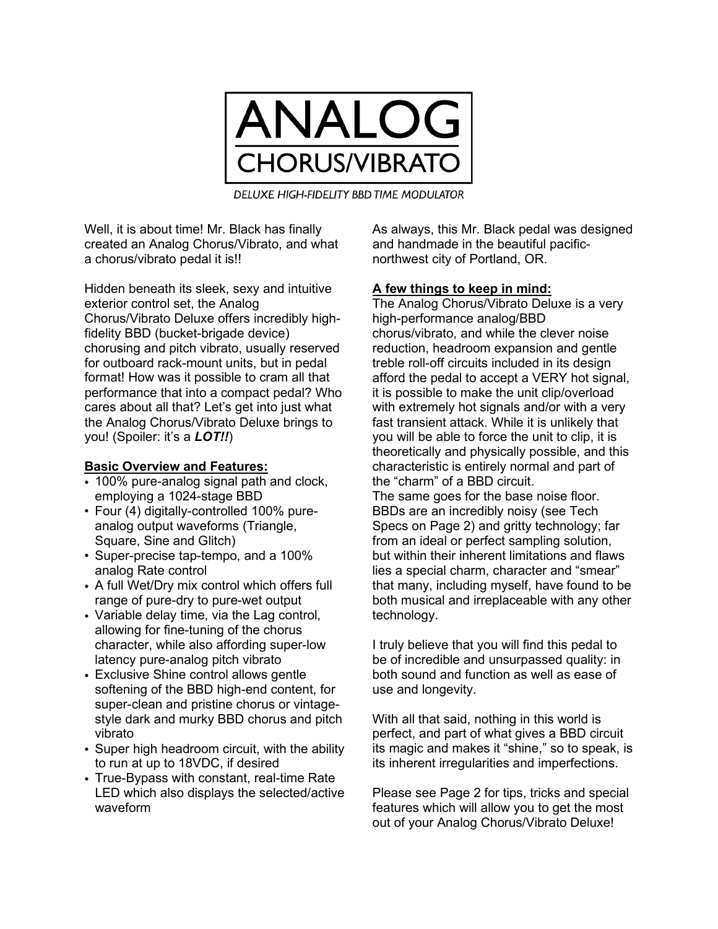

DELUXE HIGH-FIDELITY BBD TIME MODULATOR

Well, it is about time! Mr. Black has finally created an Analog Chorus/Vibrato, and what a chorus/vibrato pedal it is!!

Hidden beneath its sleek, sexy and intuitive exterior control set, the Analog Chorus/Vibrato Deluxe offers incredibly highfidelity BBD (bucket-brigade device) chorusing and pitch vibrato, usually reserved for outboard rack-mount units, but in pedal format! How was it possible to cram all that performance that into a compact pedal? Who cares about all that? Let's get into just what the Analog Chorus/Vibrato Deluxe brings to you! (Spoiler: it's a *LOT!!*)

## **Basic Overview and Features:**

- 100% pure-analog signal path and clock, employing a 1024-stage BBD
- Four (4) digitally-controlled 100% pureanalog output waveforms (Triangle, Square, Sine and Glitch)
- Super-precise tap-tempo, and a 100% analog Rate control
- A full Wet/Dry mix control which offers full range of pure-dry to pure-wet output
- Variable delay time, via the Lag control, allowing for fine-tuning of the chorus character, while also affording super-low latency pure-analog pitch vibrato
- Exclusive Shine control allows gentle softening of the BBD high-end content, for super-clean and pristine chorus or vintagestyle dark and murky BBD chorus and pitch vibrato
- Super high headroom circuit, with the ability to run at up to 18VDC, if desired
- True-Bypass with constant, real-time Rate LED which also displays the selected/active waveform

As always, this Mr. Black pedal was designed and handmade in the beautiful pacificnorthwest city of Portland, OR.

#### **A few things to keep in mind:**

The Analog Chorus/Vibrato Deluxe is a very high-performance analog/BBD chorus/vibrato, and while the clever noise reduction, headroom expansion and gentle treble roll-off circuits included in its design afford the pedal to accept a VERY hot signal, it is possible to make the unit clip/overload with extremely hot signals and/or with a very fast transient attack. While it is unlikely that you will be able to force the unit to clip, it is theoretically and physically possible, and this characteristic is entirely normal and part of the "charm" of a BBD circuit.

The same goes for the base noise floor. BBDs are an incredibly noisy (see Tech Specs on Page 2) and gritty technology; far from an ideal or perfect sampling solution, but within their inherent limitations and flaws lies a special charm, character and "smear" that many, including myself, have found to be both musical and irreplaceable with any other technology.

I truly believe that you will find this pedal to be of incredible and unsurpassed quality: in both sound and function as well as ease of use and longevity.

With all that said, nothing in this world is perfect, and part of what gives a BBD circuit its magic and makes it "shine," so to speak, is its inherent irregularities and imperfections.

Please see Page 2 for tips, tricks and special features which will allow you to get the most out of your Analog Chorus/Vibrato Deluxe!